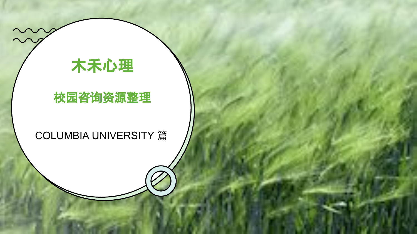### 木禾心理

 $\begin{matrix} 2 \\ 2 \end{matrix}$ 

### 校园咨询资源整理

### COLUMBIA UNIVERSITY 篇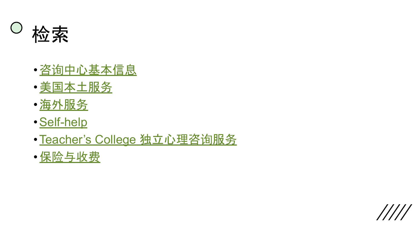<span id="page-1-0"></span>

- 咨询[中心基本信息](#page-2-0)
- •[美国本土服](#page-4-0)务
- •[海外服](#page-7-0)务
- •[Self-help](#page-9-0)
- [Teacher's College](#page-13-0) 独立心理咨询服务
- •保险[与收](#page-16-0)费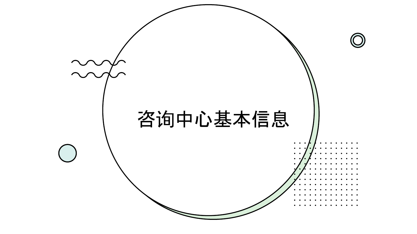<span id="page-2-0"></span>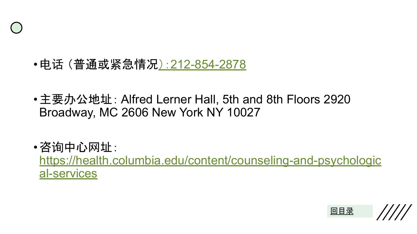- •电话 (普通或紧急情况<u>) :[212-854-2878](#page-1-0)</u>
- •主要办公地址: Alfred Lerner Hall, 5th and 8th Floors 2920 Broadway, MC 2606 New York NY 10027
- •咨询中心网址: [https://health.columbia.edu/content/counseling-and-psychologic](https://health.columbia.edu/content/counseling-and-psychological-services) [al-services](https://health.columbia.edu/content/counseling-and-psychological-services)

[回目](#page-1-0)录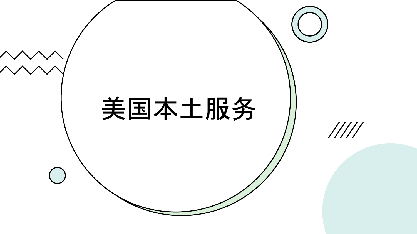<span id="page-4-0"></span>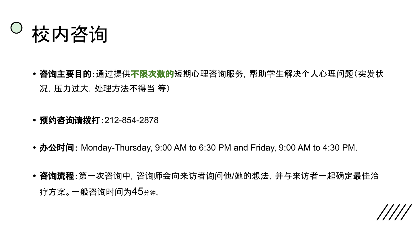校内咨询

- **•** 咨询主要目的:通过提供不限次数的短期心理咨询服务,帮助学生解决个人心理问题(突发状 况,压力过大,处理方法不得当 等)
- **•** 预约咨询请拨打:212-854-2878
- **•** 办公时间: Monday-Thursday, 9:00 AM to 6:30 PM and Friday, 9:00 AM to 4:30 PM.
- **•** 咨询流程:第一次咨询中,咨询师会向来访者询问他/她的想法,并与来访者一起确定最佳治 疗方案。一般咨询时间为45分钟。

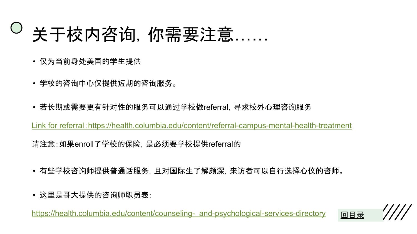# 关于校内咨询,你需要注意……

- 仅为当前身处美国的学生提供
- 学校的咨询中心仅提供短期的咨询服务。
- 若长期或需要更有针对性的服务可以通过学校做referral,寻求校外心理咨询服务

Link for referral: <https://health.columbia.edu/content/referral-campus-mental-health-treatment>

请注意:如果enroll了学校的保险,是必须要学校提供referral的

- 有些学校咨询师提供普通话服务,且对国际生了解颇深,来访者可以自行选择心仪的咨师。
- 这里是哥大提供的咨询师职员表:

[https://health.columbia.edu/content/counseling- and-psychological-services-directory](https://health.columbia.edu/content/counseling-and-psychological-services-directory) [回目](#page-1-0)录

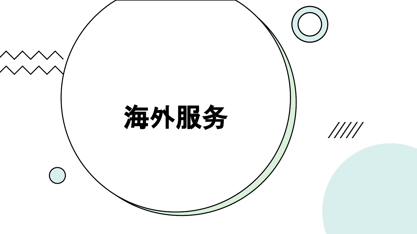<span id="page-7-0"></span>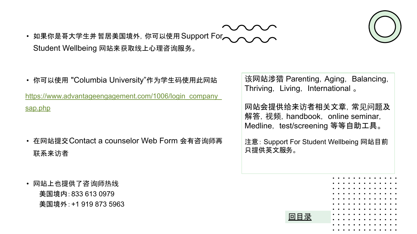

• 你可以使用 "Columbia University"作为学生码使用此网站 [https://www.advantageengagement.com/1006/login\\_company\\_](https://www.advantageengagement.com/1006/login_company_sap.php) [sap.php](https://www.advantageengagement.com/1006/login_company_sap.php)

- 在网站提交Contact a counselor Web Form 会有咨询师再 联系来访者
- 网站上也提供了咨询师热线 美国境内: 833 613 0979 美国境外:+1 919 873 5963

该网站涉猎 Parenting, Aging, Balancing, Thriving, Living, International 。

网站会提供给来访者相关文章,常见问题及 解答, 视频, handbook, online seminar, Medline, test/screening 等等自助工具。

注意: Support For Student Wellbeing 网站目前 只提供英文服务。



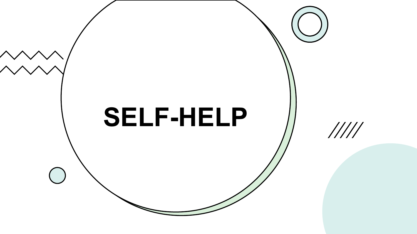<span id="page-9-0"></span>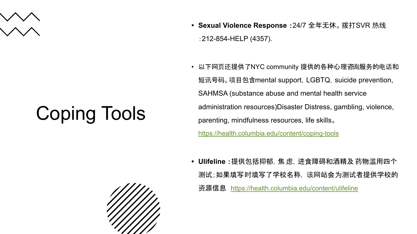

# Coping Tools

- **• Sexual Violence Response** :24/7 全年无休。拨打SVR 热线 :212-854-HELP (4357).
- 以下网页还提供了NYC community 提供的各种心理咨询服务的电话和 短讯号码。项目包含mental support, LGBTQ, suicide prevention, SAHMSA (substance abuse and mental health service administration resources)Disaster Distress, gambling, violence, parenting, mindfulness resources, life skills。 <https://health.columbia.edu/content/coping-tools>
- **• Ulifeline** :提供包括抑郁,焦虑,进食障碍和酒精及药物滥用四个 测试;如果填写时填写了学校名称,该网站会为测试者提供学校的 资源信息 <https://health.columbia.edu/content/ulifeline>

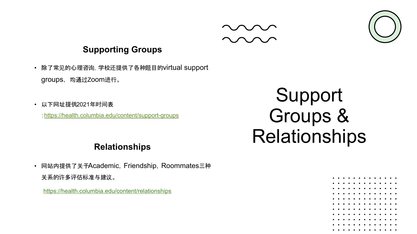

#### **Supporting Groups**

- 除了常见的心理咨询,学校还提供了各种题目的virtual support groups, 均通过Zoom进行。
- 以下网址提供2021年时间表

:<https://health.columbia.edu/content/support-groups>

#### **Relationships**

网站内提供了关于Academic, Friendship, Roommates三种 关系的许多评估标准与建议。

https://health.columbia.edu/content[/relationships](https://health.columbia.edu/content/relationships)

Support Groups & Relationships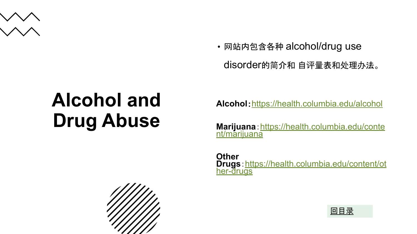

• 网站内包含各种 alcohol/drug use

disorder的简介和 自评量表和处理办法。

## **Alcohol and Drug Abuse**

Alcohol: <https://health.columbia.edu/alcohol>

Marijuana: [https://health.columbia.edu/conte](https://health.columbia.edu/content/marijuana) [nt/marijuana](https://health.columbia.edu/content/marijuana)

**Other Drugs**: [https://health.columbia.edu/content/ot](https://health.columbia.edu/content/other-drugs) [her-drugs](https://health.columbia.edu/content/other-drugs)



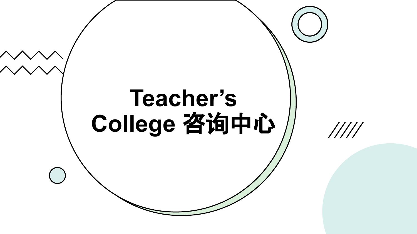<span id="page-13-0"></span>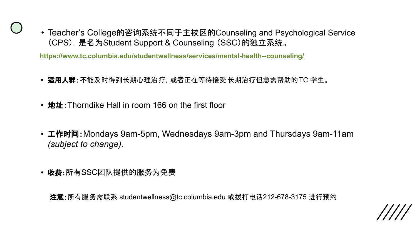• Teacher's College的咨询系统不同于主校区的Counseling and Psychological Service (CPS),是名为Student Support & Counseling (SSC)的独立系统。

**<https://www.tc.columbia.edu/studentwellness/services/mental-health--counseling/>**

- **•** 适用人群:不能及时得到长期心理治疗,或者正在等待接受 长期治疗但急需帮助的TC 学生。
- **•** 地址:Thorndike Hall in room 166 on the first floor
- **•** 工作时间:Mondays 9am-5pm, Wednesdays 9am-3pm and Thursdays 9am-11am *(subject to change).*
- **•** 收费:所有SSC团队提供的服务为免费

注意:所有服务需联系 studentwellness@tc.columbia.edu 或拨打电话212-678-3175 进行预约

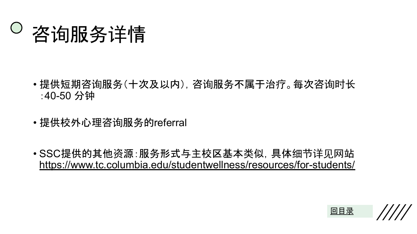咨询服务详情

- 提供短期咨询服务(十次及以内),咨询服务不属于治疗。每次咨询时长 :40-50 分钟
- 提供校外心理咨询服务的referral
- SSC提供的其他资源:服务形式与主校区基本类似,具体细节详见网站 https://www.tc.columbia.edu/studentwellness/resources/for-students/

[回目](#page-1-0)录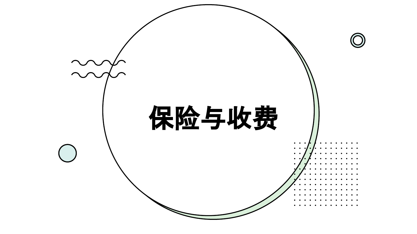<span id="page-16-0"></span>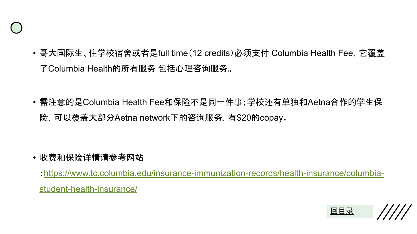- 哥大国际生、住学校宿舍或者是full time(12 credits)必须支付 Columbia Health Fee,它覆盖 了Columbia Health的所有服务 包括心理咨询服务。
- 需注意的是Columbia Health Fee和保险不是同一件事;学校还有单独和Aetna合作的学生保 险,可以覆盖大部分Aetna network下的咨询服务,有\$20的copay。

• 收费和保险详情请参考网站

:[https://www.tc.columbia.edu/insurance-immunization-records/health-insurance/columbia-](https://www.tc.columbia.edu/insurance-immunization-records/health-insurance/columbia-student-health-insurance/)

[student-health-insurance/](https://www.tc.columbia.edu/insurance-immunization-records/health-insurance/columbia-student-health-insurance/)

[回目](#page-1-0)录